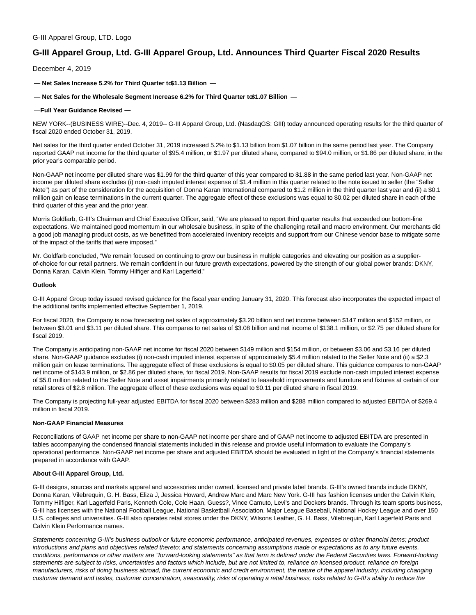## G-III Apparel Group, LTD. Logo

# **G-III Apparel Group, Ltd. G-III Apparel Group, Ltd. Announces Third Quarter Fiscal 2020 Results**

December 4, 2019

 $-$  Net Sales Increase 5.2% for Third Quarter to \$1.13 Billion  $-$ 

### $-$  Net Sales for the Wholesale Segment Increase 6.2% for Third Quarter to\$1.07 Billion  $-$

#### — **Full Year Guidance Revised —**

NEW YORK--(BUSINESS WIRE)--Dec. 4, 2019-- G-III Apparel Group, Ltd. (NasdaqGS: GIII) today announced operating results for the third quarter of fiscal 2020 ended October 31, 2019.

Net sales for the third quarter ended October 31, 2019 increased 5.2% to \$1.13 billion from \$1.07 billion in the same period last year. The Company reported GAAP net income for the third quarter of \$95.4 million, or \$1.97 per diluted share, compared to \$94.0 million, or \$1.86 per diluted share, in the prior year's comparable period.

Non-GAAP net income per diluted share was \$1.99 for the third quarter of this year compared to \$1.88 in the same period last year. Non-GAAP net income per diluted share excludes (i) non-cash imputed interest expense of \$1.4 million in this quarter related to the note issued to seller (the "Seller Note") as part of the consideration for the acquisition of Donna Karan International compared to \$1.2 million in the third quarter last year and (ii) a \$0.1 million gain on lease terminations in the current quarter. The aggregate effect of these exclusions was equal to \$0.02 per diluted share in each of the third quarter of this year and the prior year.

Morris Goldfarb, G-III's Chairman and Chief Executive Officer, said, "We are pleased to report third quarter results that exceeded our bottom-line expectations. We maintained good momentum in our wholesale business, in spite of the challenging retail and macro environment. Our merchants did a good job managing product costs, as we benefitted from accelerated inventory receipts and support from our Chinese vendor base to mitigate some of the impact of the tariffs that were imposed."

Mr. Goldfarb concluded, "We remain focused on continuing to grow our business in multiple categories and elevating our position as a supplierof-choice for our retail partners. We remain confident in our future growth expectations, powered by the strength of our global power brands: DKNY, Donna Karan, Calvin Klein, Tommy Hilfiger and Karl Lagerfeld."

#### **Outlook**

G-III Apparel Group today issued revised guidance for the fiscal year ending January 31, 2020. This forecast also incorporates the expected impact of the additional tariffs implemented effective September 1, 2019.

For fiscal 2020, the Company is now forecasting net sales of approximately \$3.20 billion and net income between \$147 million and \$152 million, or between \$3.01 and \$3.11 per diluted share. This compares to net sales of \$3.08 billion and net income of \$138.1 million, or \$2.75 per diluted share for fiscal 2019.

The Company is anticipating non-GAAP net income for fiscal 2020 between \$149 million and \$154 million, or between \$3.06 and \$3.16 per diluted share. Non-GAAP guidance excludes (i) non-cash imputed interest expense of approximately \$5.4 million related to the Seller Note and (ii) a \$2.3 million gain on lease terminations. The aggregate effect of these exclusions is equal to \$0.05 per diluted share. This guidance compares to non-GAAP net income of \$143.9 million, or \$2.86 per diluted share, for fiscal 2019. Non-GAAP results for fiscal 2019 exclude non-cash imputed interest expense of \$5.0 million related to the Seller Note and asset impairments primarily related to leasehold improvements and furniture and fixtures at certain of our retail stores of \$2.8 million. The aggregate effect of these exclusions was equal to \$0.11 per diluted share in fiscal 2019.

The Company is projecting full-year adjusted EBITDA for fiscal 2020 between \$283 million and \$288 million compared to adjusted EBITDA of \$269.4 million in fiscal 2019.

#### **Non-GAAP Financial Measures**

Reconciliations of GAAP net income per share to non-GAAP net income per share and of GAAP net income to adjusted EBITDA are presented in tables accompanying the condensed financial statements included in this release and provide useful information to evaluate the Company's operational performance. Non-GAAP net income per share and adjusted EBITDA should be evaluated in light of the Company's financial statements prepared in accordance with GAAP.

#### **About G-III Apparel Group, Ltd.**

G-III designs, sources and markets apparel and accessories under owned, licensed and private label brands. G-III's owned brands include DKNY, Donna Karan, Vilebrequin, G. H. Bass, Eliza J, Jessica Howard, Andrew Marc and Marc New York. G-III has fashion licenses under the Calvin Klein, Tommy Hilfiger, Karl Lagerfeld Paris, Kenneth Cole, Cole Haan, Guess?, Vince Camuto, Levi's and Dockers brands. Through its team sports business, G-III has licenses with the National Football League, National Basketball Association, Major League Baseball, National Hockey League and over 150 U.S. colleges and universities. G-III also operates retail stores under the DKNY, Wilsons Leather, G. H. Bass, Vilebrequin, Karl Lagerfeld Paris and Calvin Klein Performance names.

Statements concerning G-III's business outlook or future economic performance, anticipated revenues, expenses or other financial items; product introductions and plans and objectives related thereto; and statements concerning assumptions made or expectations as to any future events, conditions, performance or other matters are "forward-looking statements" as that term is defined under the Federal Securities laws. Forward-looking statements are subject to risks, uncertainties and factors which include, but are not limited to, reliance on licensed product, reliance on foreign manufacturers, risks of doing business abroad, the current economic and credit environment, the nature of the apparel industry, including changing customer demand and tastes, customer concentration, seasonality, risks of operating a retail business, risks related to G-III's ability to reduce the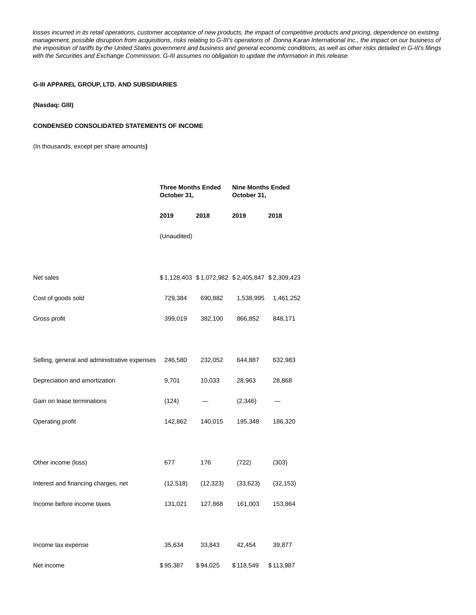losses incurred in its retail operations, customer acceptance of new products, the impact of competitive products and pricing, dependence on existing management, possible disruption from acquisitions, risks relating to G-III's operations of Donna Karan International Inc., the impact on our business of the imposition of tariffs by the United States government and business and general economic conditions, as well as other risks detailed in G-III's filings with the Securities and Exchange Commission. G-III assumes no obligation to update the information in this release.

## **G-III APPAREL GROUP, LTD. AND SUBSIDIARIES**

## **(Nasdaq: GIII)**

## **CONDENSED CONSOLIDATED STATEMENTS OF INCOME**

(In thousands, except per share amounts**)**

|                                              | <b>Three Months Ended</b><br>October 31, |           | <b>Nine Months Ended</b><br>October 31,         |           |
|----------------------------------------------|------------------------------------------|-----------|-------------------------------------------------|-----------|
|                                              | 2019                                     | 2018      | 2019                                            | 2018      |
|                                              | (Unaudited)                              |           |                                                 |           |
|                                              |                                          |           |                                                 |           |
| Net sales                                    |                                          |           | \$1,128,403 \$1,072,982 \$2,405,847 \$2,309,423 |           |
| Cost of goods sold                           | 729,384                                  | 690,882   | 1,538,995                                       | 1,461,252 |
| Gross profit                                 | 399,019                                  | 382,100   | 866,852                                         | 848,171   |
|                                              |                                          |           |                                                 |           |
| Selling, general and administrative expenses | 246,580                                  | 232,052   | 644,887                                         | 632,983   |
| Depreciation and amortization                | 9,701                                    | 10,033    | 28,963                                          | 28,868    |
| Gain on lease terminations                   | (124)                                    |           | (2,346)                                         |           |
| Operating profit                             | 142,862                                  | 140,015   | 195,348                                         | 186,320   |
|                                              |                                          |           |                                                 |           |
| Other income (loss)                          | 677                                      | 176       | (722)                                           | (303)     |
| Interest and financing charges, net          | (12, 518)                                | (12, 323) | (33, 623)                                       | (32, 153) |
| Income before income taxes                   | 131,021                                  | 127,868   | 161,003                                         | 153,864   |
|                                              |                                          |           |                                                 |           |
| Income tax expense                           | 35,634                                   | 33,843    | 42,454                                          | 39,877    |
| Net income                                   | \$95,387                                 | \$94,025  | \$118,549                                       | \$113,987 |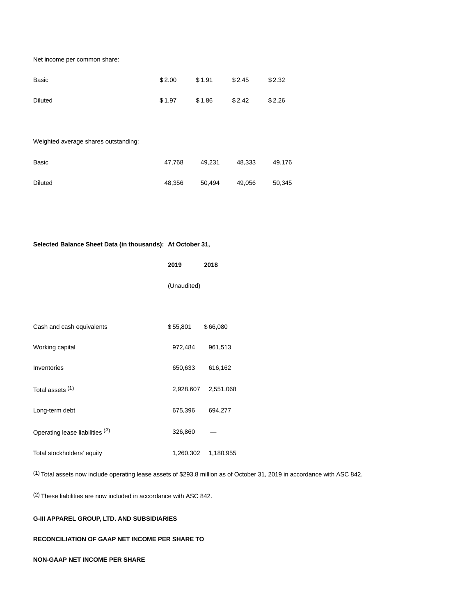Net income per common share:

| Basic          | \$2.00 | \$1.91 | \$2.45 | \$2.32 |
|----------------|--------|--------|--------|--------|
| <b>Diluted</b> | \$1.97 | \$1.86 | \$2.42 | \$2.26 |

Weighted average shares outstanding:

| Basic          | 47.768 | 49.231 | 48.333 | 49.176 |
|----------------|--------|--------|--------|--------|
| <b>Diluted</b> | 48.356 | 50,494 | 49,056 | 50.345 |

# **Selected Balance Sheet Data (in thousands): At October 31,**

|                                 | 2019        | 2018      |
|---------------------------------|-------------|-----------|
|                                 | (Unaudited) |           |
|                                 |             |           |
| Cash and cash equivalents       | \$55,801    | \$66,080  |
| Working capital                 | 972,484     | 961,513   |
| Inventories                     | 650,633     | 616,162   |
| Total assets (1)                | 2,928,607   | 2,551,068 |
| Long-term debt                  | 675,396     | 694,277   |
| Operating lease liabilities (2) | 326,860     |           |
| Total stockholders' equity      | 1,260,302   | 1,180,955 |

(1) Total assets now include operating lease assets of \$293.8 million as of October 31, 2019 in accordance with ASC 842.

(2) These liabilities are now included in accordance with ASC 842.

# **G-III APPAREL GROUP, LTD. AND SUBSIDIARIES**

# **RECONCILIATION OF GAAP NET INCOME PER SHARE TO**

# **NON-GAAP NET INCOME PER SHARE**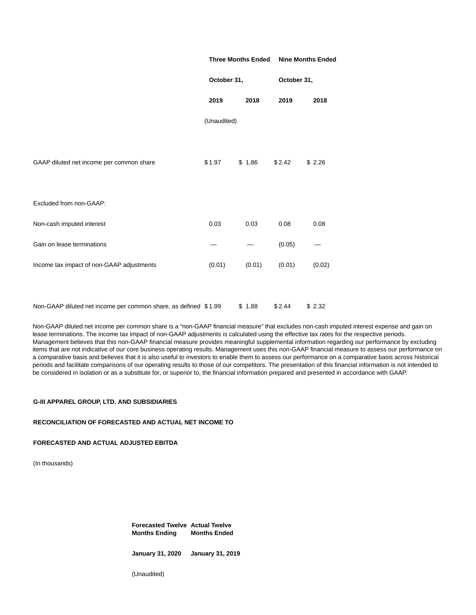|                                                                 | <b>Three Months Ended</b><br>October 31, |        |        | <b>Nine Months Ended</b><br>October 31, |  |
|-----------------------------------------------------------------|------------------------------------------|--------|--------|-----------------------------------------|--|
|                                                                 |                                          |        |        |                                         |  |
|                                                                 | 2019                                     | 2018   | 2019   | 2018                                    |  |
|                                                                 | (Unaudited)                              |        |        |                                         |  |
|                                                                 |                                          |        |        |                                         |  |
| GAAP diluted net income per common share                        | \$1.97                                   | \$1.86 | \$2.42 | \$2.26                                  |  |
|                                                                 |                                          |        |        |                                         |  |
| Excluded from non-GAAP:                                         |                                          |        |        |                                         |  |
| Non-cash imputed interest                                       | 0.03                                     | 0.03   | 0.08   | 0.08                                    |  |
| Gain on lease terminations                                      |                                          |        | (0.05) |                                         |  |
| Income tax impact of non-GAAP adjustments                       | (0.01)                                   | (0.01) | (0.01) | (0.02)                                  |  |
|                                                                 |                                          |        |        |                                         |  |
| Non-GAAP diluted net income per common share, as defined \$1.99 |                                          | \$1.88 | \$2.44 | \$2.32                                  |  |

Non-GAAP diluted net income per common share is a "non-GAAP financial measure" that excludes non-cash imputed interest expense and gain on lease terminations. The income tax impact of non-GAAP adjustments is calculated using the effective tax rates for the respective periods. Management believes that this non-GAAP financial measure provides meaningful supplemental information regarding our performance by excluding items that are not indicative of our core business operating results. Management uses this non-GAAP financial measure to assess our performance on a comparative basis and believes that it is also useful to investors to enable them to assess our performance on a comparative basis across historical periods and facilitate comparisons of our operating results to those of our competitors. The presentation of this financial information is not intended to be considered in isolation or as a substitute for, or superior to, the financial information prepared and presented in accordance with GAAP.

## **G-III APPAREL GROUP, LTD. AND SUBSIDIARIES**

### **RECONCILIATION OF FORECASTED AND ACTUAL NET INCOME TO**

### **FORECASTED AND ACTUAL ADJUSTED EBITDA**

(In thousands)

**Forecasted Twelve Actual Twelve Months Ending Months Ended**

**January 31, 2020 January 31, 2019**

(Unaudited)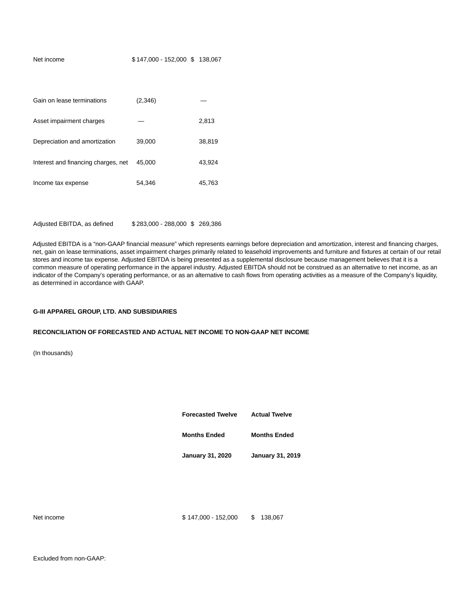| Net income                          | \$147,000 - 152,000 \$138,067 |        |
|-------------------------------------|-------------------------------|--------|
|                                     |                               |        |
|                                     |                               |        |
| Gain on lease terminations          | (2,346)                       |        |
| Asset impairment charges            |                               | 2,813  |
| Depreciation and amortization       | 39,000                        | 38,819 |
| Interest and financing charges, net | 45,000                        | 43,924 |
| Income tax expense                  | 54,346                        | 45,763 |
|                                     |                               |        |
|                                     |                               |        |

Adjusted EBITDA, as defined \$283,000 - 288,000 \$269,386

Adjusted EBITDA is a "non-GAAP financial measure" which represents earnings before depreciation and amortization, interest and financing charges, net, gain on lease terminations, asset impairment charges primarily related to leasehold improvements and furniture and fixtures at certain of our retail stores and income tax expense. Adjusted EBITDA is being presented as a supplemental disclosure because management believes that it is a common measure of operating performance in the apparel industry. Adjusted EBITDA should not be construed as an alternative to net income, as an indicator of the Company's operating performance, or as an alternative to cash flows from operating activities as a measure of the Company's liquidity, as determined in accordance with GAAP.

### **G-III APPAREL GROUP, LTD. AND SUBSIDIARIES**

#### **RECONCILIATION OF FORECASTED AND ACTUAL NET INCOME TO NON-GAAP NET INCOME**

(In thousands)

| <b>Forecasted Twelve</b> | <b>Actual Twelve</b>    |
|--------------------------|-------------------------|
| <b>Months Ended</b>      | <b>Months Ended</b>     |
| <b>January 31, 2020</b>  | <b>January 31, 2019</b> |
|                          |                         |

Net income \$ 147,000 - 152,000 \$ 138,067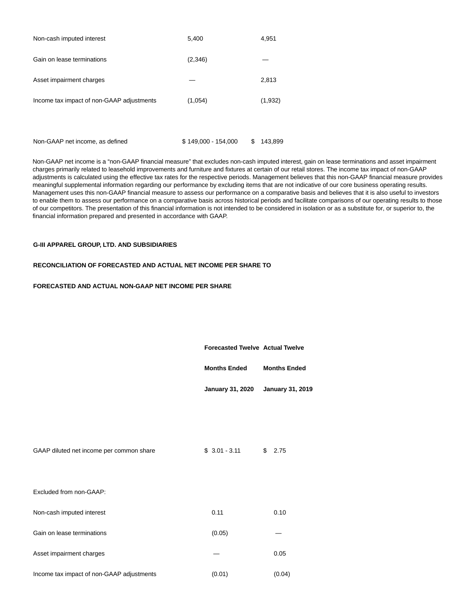| Non-cash imputed interest                 | 5,400   | 4,951   |
|-------------------------------------------|---------|---------|
| Gain on lease terminations                | (2,346) |         |
| Asset impairment charges                  |         | 2,813   |
| Income tax impact of non-GAAP adjustments | (1,054) | (1,932) |
|                                           |         |         |

Non-GAAP net income, as defined  $$ 149,000 - 154,000$   $$ 143,899$ 

Non-GAAP net income is a "non-GAAP financial measure" that excludes non-cash imputed interest, gain on lease terminations and asset impairment charges primarily related to leasehold improvements and furniture and fixtures at certain of our retail stores. The income tax impact of non-GAAP adjustments is calculated using the effective tax rates for the respective periods. Management believes that this non-GAAP financial measure provides meaningful supplemental information regarding our performance by excluding items that are not indicative of our core business operating results. Management uses this non-GAAP financial measure to assess our performance on a comparative basis and believes that it is also useful to investors to enable them to assess our performance on a comparative basis across historical periods and facilitate comparisons of our operating results to those of our competitors. The presentation of this financial information is not intended to be considered in isolation or as a substitute for, or superior to, the financial information prepared and presented in accordance with GAAP.

# **G-III APPAREL GROUP, LTD. AND SUBSIDIARIES**

# **RECONCILIATION OF FORECASTED AND ACTUAL NET INCOME PER SHARE TO**

# **FORECASTED AND ACTUAL NON-GAAP NET INCOME PER SHARE**

|                                          | <b>Forecasted Twelve Actual Twelve</b> |                         |
|------------------------------------------|----------------------------------------|-------------------------|
|                                          | <b>Months Ended</b>                    | <b>Months Ended</b>     |
|                                          | <b>January 31, 2020</b>                | <b>January 31, 2019</b> |
|                                          |                                        |                         |
|                                          |                                        |                         |
| GAAP diluted net income per common share | $$3.01 - 3.11$                         | \$2.75                  |
|                                          |                                        |                         |
| Excluded from non-GAAP:                  |                                        |                         |
| Non-cash imputed interest                | 0.11                                   | 0.10                    |
| Gain on lease terminations               | (0.05)                                 |                         |
| Asset impairment charges                 |                                        | 0.05                    |
|                                          |                                        |                         |

Income tax impact of non-GAAP adjustments (0.01) (0.04)